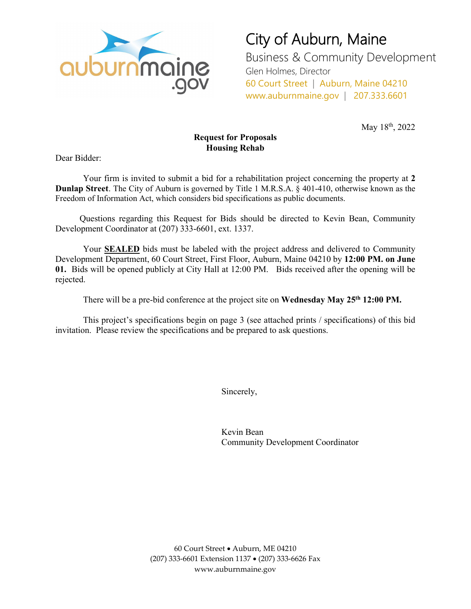

City of Auburn, Maine Business & Community Development

Glen Holmes, Director 60 Court Street | Auburn, Maine 04210 www.auburnmaine.gov | 207.333.6601

May 18<sup>th</sup>, 2022

### **Request for Proposals Housing Rehab**

Dear Bidder:

Your firm is invited to submit a bid for a rehabilitation project concerning the property at **2 Dunlap Street**. The City of Auburn is governed by Title 1 M.R.S.A. § 401-410, otherwise known as the Freedom of Information Act, which considers bid specifications as public documents.

Questions regarding this Request for Bids should be directed to Kevin Bean, Community Development Coordinator at (207) 333-6601, ext. 1337.

Your **SEALED** bids must be labeled with the project address and delivered to Community Development Department, 60 Court Street, First Floor, Auburn, Maine 04210 by **12:00 PM. on June 01.** Bids will be opened publicly at City Hall at 12:00 PM. Bids received after the opening will be rejected.

There will be a pre-bid conference at the project site on **Wednesday May 25th 12:00 PM.**

This project's specifications begin on page 3 (see attached prints / specifications) of this bid invitation. Please review the specifications and be prepared to ask questions.

Sincerely,

Kevin Bean Community Development Coordinator

60 Court Street • Auburn, ME 04210 (207) 333-6601 Extension 1137 • (207) 333-6626 Fax www.auburnmaine.gov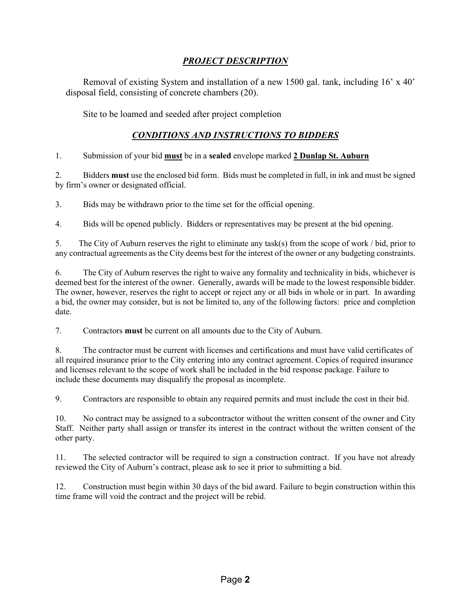### *PROJECT DESCRIPTION*

Removal of existing System and installation of a new 1500 gal. tank, including 16' x 40' disposal field, consisting of concrete chambers (20).

Site to be loamed and seeded after project completion

### *CONDITIONS AND INSTRUCTIONS TO BIDDERS*

#### 1. Submission of your bid **must** be in a **sealed** envelope marked **2 Dunlap St. Auburn**

2. Bidders **must** use the enclosed bid form. Bids must be completed in full, in ink and must be signed by firm's owner or designated official.

3. Bids may be withdrawn prior to the time set for the official opening.

4. Bids will be opened publicly. Bidders or representatives may be present at the bid opening.

5. The City of Auburn reserves the right to eliminate any task(s) from the scope of work / bid, prior to any contractual agreements as the City deems best for the interest of the owner or any budgeting constraints.

6. The City of Auburn reserves the right to waive any formality and technicality in bids, whichever is deemed best for the interest of the owner. Generally, awards will be made to the lowest responsible bidder. The owner, however, reserves the right to accept or reject any or all bids in whole or in part. In awarding a bid, the owner may consider, but is not be limited to, any of the following factors: price and completion date.

7. Contractors **must** be current on all amounts due to the City of Auburn.

8. The contractor must be current with licenses and certifications and must have valid certificates of all required insurance prior to the City entering into any contract agreement. Copies of required insurance and licenses relevant to the scope of work shall be included in the bid response package. Failure to include these documents may disqualify the proposal as incomplete.

9. Contractors are responsible to obtain any required permits and must include the cost in their bid.

10. No contract may be assigned to a subcontractor without the written consent of the owner and City Staff. Neither party shall assign or transfer its interest in the contract without the written consent of the other party.

11. The selected contractor will be required to sign a construction contract. If you have not already reviewed the City of Auburn's contract, please ask to see it prior to submitting a bid.

12. Construction must begin within 30 days of the bid award. Failure to begin construction within this time frame will void the contract and the project will be rebid.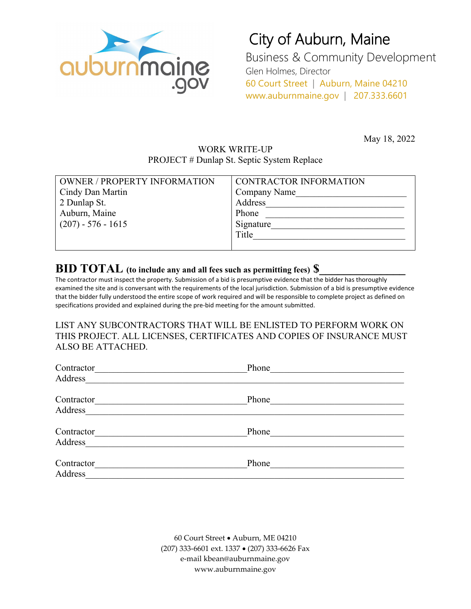

# City of Auburn, Maine

Business & Community Development Glen Holmes, Director 60 Court Street | Auburn, Maine 04210 www.auburnmaine.gov | 207.333.6601

May 18, 2022

### WORK WRITE-UP PROJECT # Dunlap St. Septic System Replace

| <b>OWNER / PROPERTY INFORMATION</b> | <b>CONTRACTOR INFORMATION</b> |
|-------------------------------------|-------------------------------|
| Cindy Dan Martin                    | Company Name                  |
| 2 Dunlap St.                        | Address                       |
| Auburn, Maine                       | Phone                         |
| $(207) - 576 - 1615$                | Signature                     |
|                                     | Title                         |
|                                     |                               |

## **BID TOTAL** (to include any and all fees such as permitting fees)  $\$\$

The contractor must inspect the property. Submission of a bid is presumptive evidence that the bidder has thoroughly examined the site and is conversant with the requirements of the local jurisdiction. Submission of a bid is presumptive evidence that the bidder fully understood the entire scope of work required and will be responsible to complete project as defined on specifications provided and explained during the pre-bid meeting for the amount submitted.

LIST ANY SUBCONTRACTORS THAT WILL BE ENLISTED TO PERFORM WORK ON THIS PROJECT. ALL LICENSES, CERTIFICATES AND COPIES OF INSURANCE MUST ALSO BE ATTACHED.

| Contractor | Phone |  |
|------------|-------|--|
| Address    |       |  |
| Contractor | Phone |  |
| Address    |       |  |
| Contractor | Phone |  |
| Address    |       |  |
| Contractor | Phone |  |
| Address    |       |  |

60 Court Street • Auburn, ME 04210 (207) 333-6601 ext. 1337 • (207) 333-6626 Fax e-mail kbean@auburnmaine.gov www.auburnmaine.gov